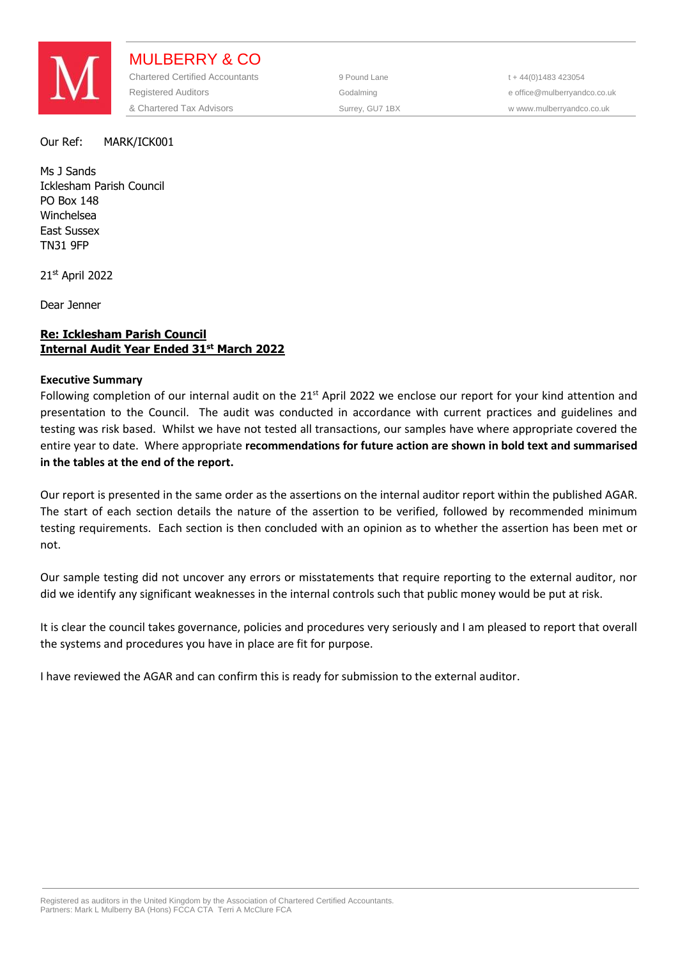

MULBERRY & CO Chartered Certified Accountants 9 Pound Lane 1 + 44(0)1483 423054 Registered Auditors **Construction Construction** Godalming **Construction Construction** e office@mulberryandco.co.uk & Chartered Tax Advisors Surrey, GU7 1BX w www.mulberryandco.co.uk

### Our Ref: MARK/ICK001

Ms J Sands Icklesham Parish Council PO Box 148 Winchelsea East Sussex TN31 9FP

21st April 2022

Dear Jenner

# **Re: Icklesham Parish Council Internal Audit Year Ended 31st March 2022**

# **Executive Summary**

Following completion of our internal audit on the 21<sup>st</sup> April 2022 we enclose our report for your kind attention and presentation to the Council. The audit was conducted in accordance with current practices and guidelines and testing was risk based. Whilst we have not tested all transactions, our samples have where appropriate covered the entire year to date. Where appropriate **recommendations for future action are shown in bold text and summarised in the tables at the end of the report.** 

Our report is presented in the same order as the assertions on the internal auditor report within the published AGAR. The start of each section details the nature of the assertion to be verified, followed by recommended minimum testing requirements. Each section is then concluded with an opinion as to whether the assertion has been met or not.

Our sample testing did not uncover any errors or misstatements that require reporting to the external auditor, nor did we identify any significant weaknesses in the internal controls such that public money would be put at risk.

It is clear the council takes governance, policies and procedures very seriously and I am pleased to report that overall the systems and procedures you have in place are fit for purpose.

I have reviewed the AGAR and can confirm this is ready for submission to the external auditor.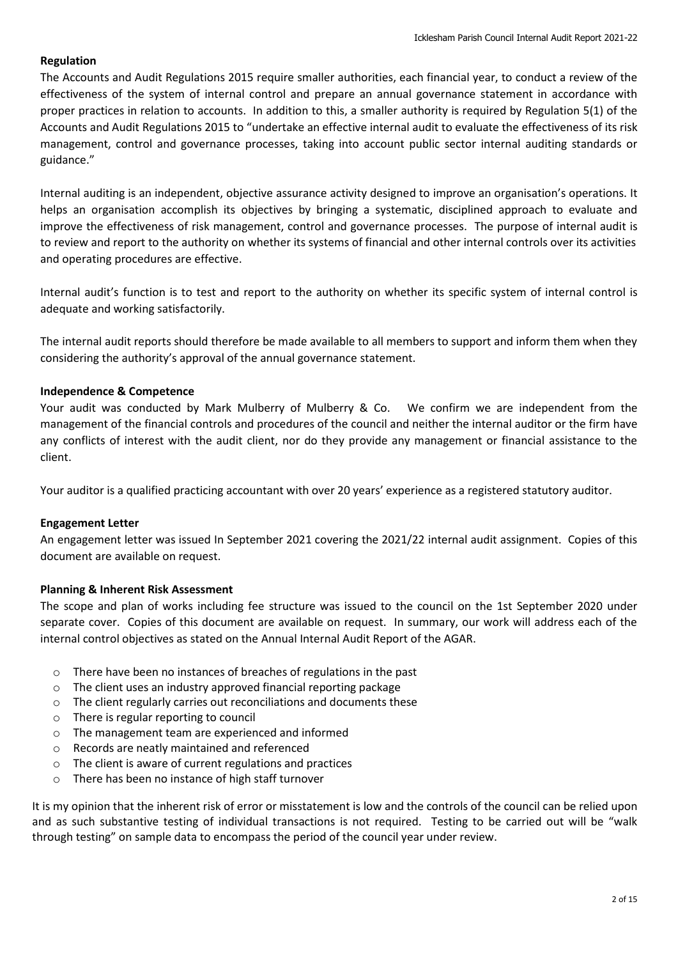# **Regulation**

The Accounts and Audit Regulations 2015 require smaller authorities, each financial year, to conduct a review of the effectiveness of the system of internal control and prepare an annual governance statement in accordance with proper practices in relation to accounts. In addition to this, a smaller authority is required by Regulation 5(1) of the Accounts and Audit Regulations 2015 to "undertake an effective internal audit to evaluate the effectiveness of its risk management, control and governance processes, taking into account public sector internal auditing standards or guidance."

Internal auditing is an independent, objective assurance activity designed to improve an organisation's operations. It helps an organisation accomplish its objectives by bringing a systematic, disciplined approach to evaluate and improve the effectiveness of risk management, control and governance processes. The purpose of internal audit is to review and report to the authority on whether its systems of financial and other internal controls over its activities and operating procedures are effective.

Internal audit's function is to test and report to the authority on whether its specific system of internal control is adequate and working satisfactorily.

The internal audit reports should therefore be made available to all members to support and inform them when they considering the authority's approval of the annual governance statement.

# **Independence & Competence**

Your audit was conducted by Mark Mulberry of Mulberry & Co. We confirm we are independent from the management of the financial controls and procedures of the council and neither the internal auditor or the firm have any conflicts of interest with the audit client, nor do they provide any management or financial assistance to the client.

Your auditor is a qualified practicing accountant with over 20 years' experience as a registered statutory auditor.

# **Engagement Letter**

An engagement letter was issued In September 2021 covering the 2021/22 internal audit assignment. Copies of this document are available on request.

# **Planning & Inherent Risk Assessment**

The scope and plan of works including fee structure was issued to the council on the 1st September 2020 under separate cover. Copies of this document are available on request. In summary, our work will address each of the internal control objectives as stated on the Annual Internal Audit Report of the AGAR.

- o There have been no instances of breaches of regulations in the past
- o The client uses an industry approved financial reporting package
- o The client regularly carries out reconciliations and documents these
- o There is regular reporting to council
- o The management team are experienced and informed
- o Records are neatly maintained and referenced
- o The client is aware of current regulations and practices
- There has been no instance of high staff turnover

It is my opinion that the inherent risk of error or misstatement is low and the controls of the council can be relied upon and as such substantive testing of individual transactions is not required. Testing to be carried out will be "walk through testing" on sample data to encompass the period of the council year under review.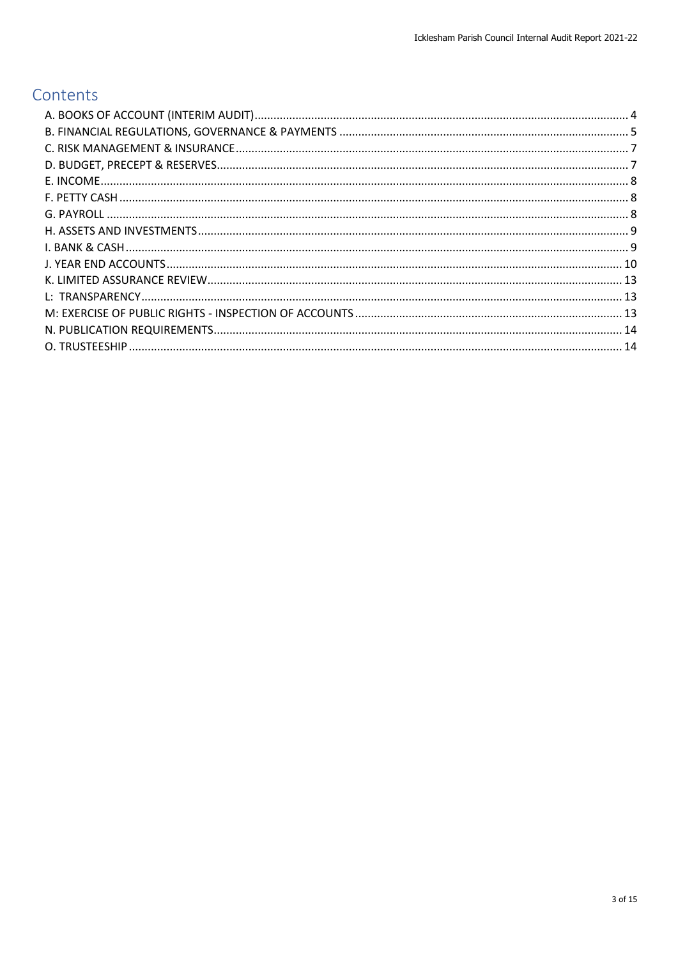# Contents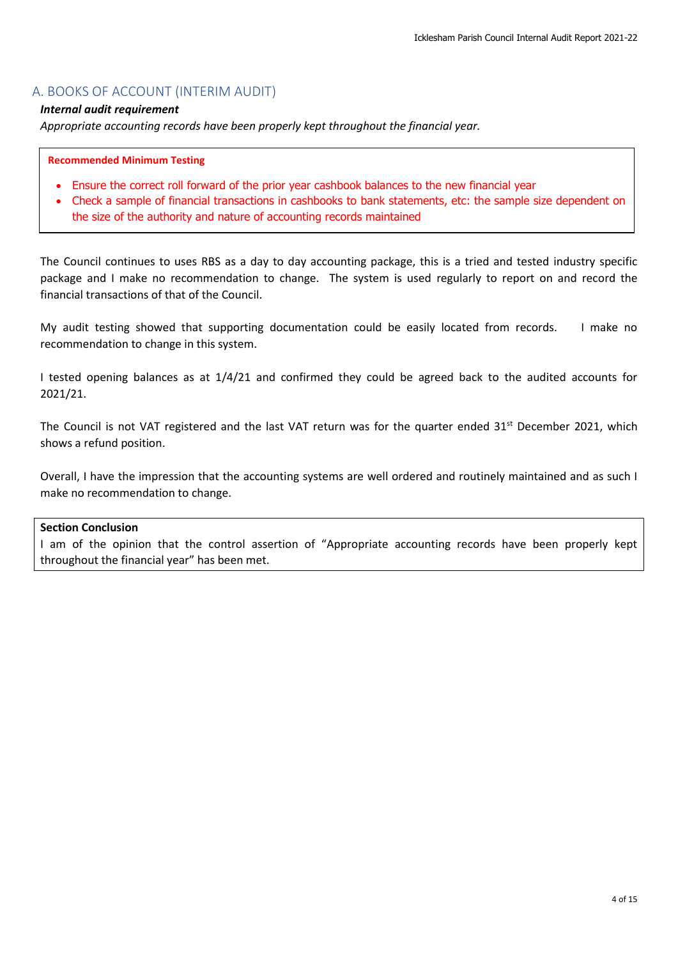# <span id="page-3-0"></span>A. BOOKS OF ACCOUNT (INTERIM AUDIT)

### *Internal audit requirement*

*Appropriate accounting records have been properly kept throughout the financial year.*

#### **Recommended Minimum Testing**

- Ensure the correct roll forward of the prior year cashbook balances to the new financial year
- Check a sample of financial transactions in cashbooks to bank statements, etc: the sample size dependent on the size of the authority and nature of accounting records maintained

The Council continues to uses RBS as a day to day accounting package, this is a tried and tested industry specific package and I make no recommendation to change. The system is used regularly to report on and record the financial transactions of that of the Council.

My audit testing showed that supporting documentation could be easily located from records. I make no recommendation to change in this system.

I tested opening balances as at 1/4/21 and confirmed they could be agreed back to the audited accounts for 2021/21.

The Council is not VAT registered and the last VAT return was for the quarter ended 31<sup>st</sup> December 2021, which shows a refund position.

Overall, I have the impression that the accounting systems are well ordered and routinely maintained and as such I make no recommendation to change.

#### **Section Conclusion**

I am of the opinion that the control assertion of "Appropriate accounting records have been properly kept throughout the financial year" has been met.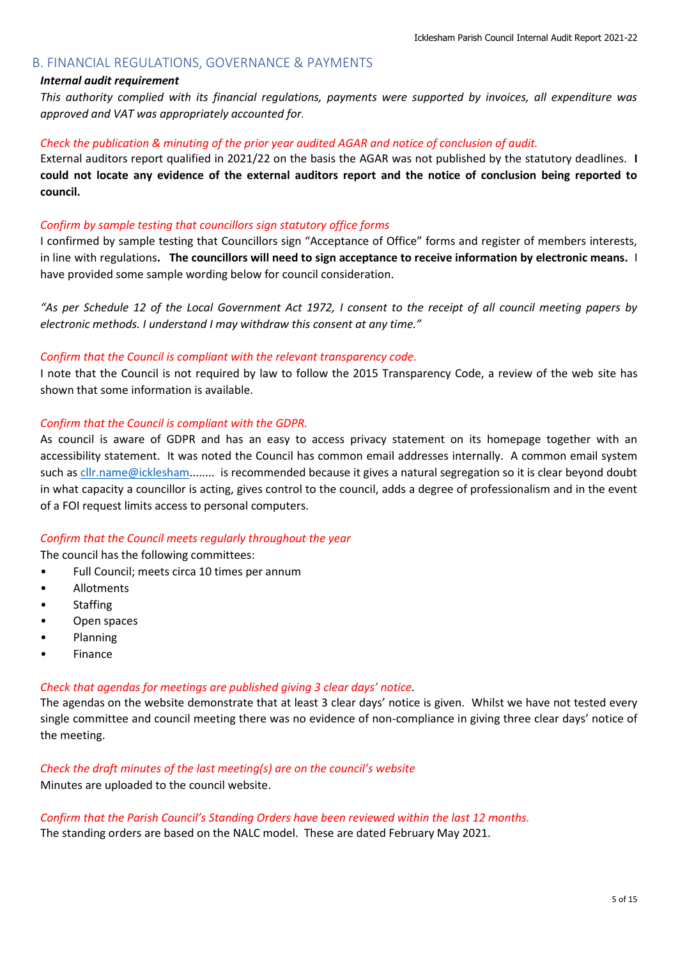# <span id="page-4-0"></span>B. FINANCIAL REGULATIONS, GOVERNANCE & PAYMENTS

# *Internal audit requirement*

*This authority complied with its financial regulations, payments were supported by invoices, all expenditure was approved and VAT was appropriately accounted for.*

#### *Check the publication & minuting of the prior year audited AGAR and notice of conclusion of audit.*

External auditors report qualified in 2021/22 on the basis the AGAR was not published by the statutory deadlines. **I could not locate any evidence of the external auditors report and the notice of conclusion being reported to council.**

### *Confirm by sample testing that councillors sign statutory office forms*

I confirmed by sample testing that Councillors sign "Acceptance of Office" forms and register of members interests, in line with regulations**. The councillors will need to sign acceptance to receive information by electronic means.** I have provided some sample wording below for council consideration.

*"As per Schedule 12 of the Local Government Act 1972, I consent to the receipt of all council meeting papers by electronic methods. I understand I may withdraw this consent at any time."*

#### *Confirm that the Council is compliant with the relevant transparency code.*

I note that the Council is not required by law to follow the 2015 Transparency Code, a review of the web site has shown that some information is available.

### *Confirm that the Council is compliant with the GDPR.*

As council is aware of GDPR and has an easy to access privacy statement on its homepage together with an accessibility statement. It was noted the Council has common email addresses internally. A common email system such a[s cllr.name@i](mailto:cllr.name@)cklesham........ is recommended because it gives a natural segregation so it is clear beyond doubt in what capacity a councillor is acting, gives control to the council, adds a degree of professionalism and in the event of a FOI request limits access to personal computers.

# *Confirm that the Council meets regularly throughout the year*

The council has the following committees:

- Full Council; meets circa 10 times per annum
- Allotments
- **Staffing**
- Open spaces
- Planning
- **Finance**

#### *Check that agendas for meetings are published giving 3 clear days' notice.*

The agendas on the website demonstrate that at least 3 clear days' notice is given. Whilst we have not tested every single committee and council meeting there was no evidence of non-compliance in giving three clear days' notice of the meeting.

#### *Check the draft minutes of the last meeting(s) are on the council's website*

Minutes are uploaded to the council website.

*Confirm that the Parish Council's Standing Orders have been reviewed within the last 12 months.* The standing orders are based on the NALC model. These are dated February May 2021.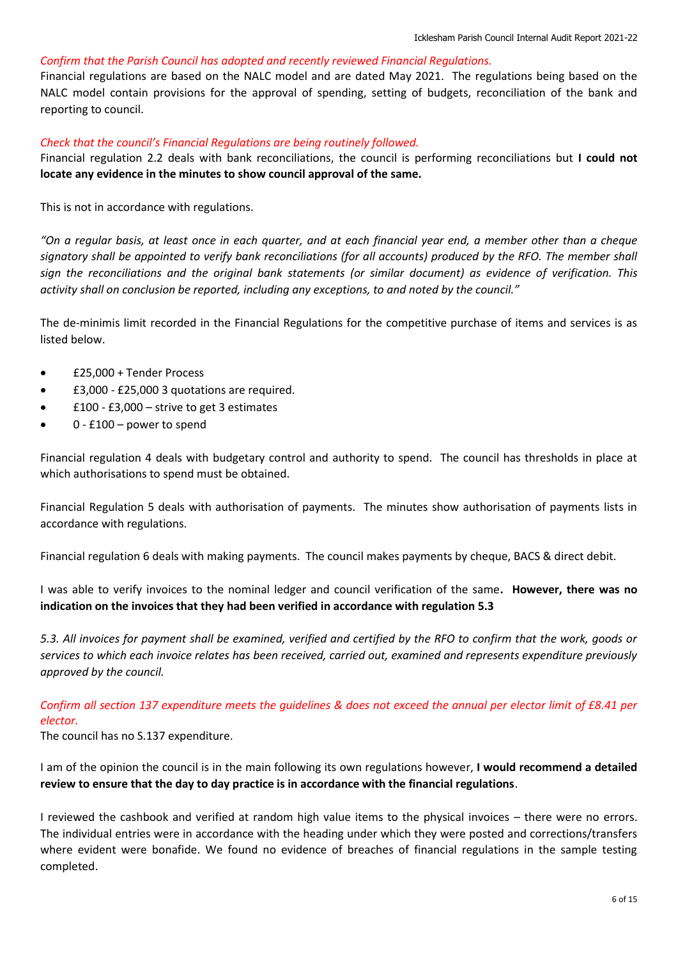# *Confirm that the Parish Council has adopted and recently reviewed Financial Regulations.*

Financial regulations are based on the NALC model and are dated May 2021. The regulations being based on the NALC model contain provisions for the approval of spending, setting of budgets, reconciliation of the bank and reporting to council.

# *Check that the council's Financial Regulations are being routinely followed.*

Financial regulation 2.2 deals with bank reconciliations, the council is performing reconciliations but **I could not locate any evidence in the minutes to show council approval of the same.** 

This is not in accordance with regulations.

*"On a regular basis, at least once in each quarter, and at each financial year end, a member other than a cheque signatory shall be appointed to verify bank reconciliations (for all accounts) produced by the RFO. The member shall sign the reconciliations and the original bank statements (or similar document) as evidence of verification. This activity shall on conclusion be reported, including any exceptions, to and noted by the council."*

The de-minimis limit recorded in the Financial Regulations for the competitive purchase of items and services is as listed below.

- £25,000 + Tender Process
- £3,000 £25,000 3 quotations are required.
- $£100 £3,000 -$  strive to get 3 estimates
- 0 £100 power to spend

Financial regulation 4 deals with budgetary control and authority to spend. The council has thresholds in place at which authorisations to spend must be obtained.

Financial Regulation 5 deals with authorisation of payments. The minutes show authorisation of payments lists in accordance with regulations.

Financial regulation 6 deals with making payments. The council makes payments by cheque, BACS & direct debit.

I was able to verify invoices to the nominal ledger and council verification of the same**. However, there was no indication on the invoices that they had been verified in accordance with regulation 5.3**

*5.3. All invoices for payment shall be examined, verified and certified by the RFO to confirm that the work, goods or services to which each invoice relates has been received, carried out, examined and represents expenditure previously approved by the council.*

# *Confirm all section 137 expenditure meets the guidelines & does not exceed the annual per elector limit of £8.41 per elector.*

The council has no S.137 expenditure.

I am of the opinion the council is in the main following its own regulations however, **I would recommend a detailed review to ensure that the day to day practice is in accordance with the financial regulations**.

I reviewed the cashbook and verified at random high value items to the physical invoices – there were no errors. The individual entries were in accordance with the heading under which they were posted and corrections/transfers where evident were bonafide. We found no evidence of breaches of financial regulations in the sample testing completed.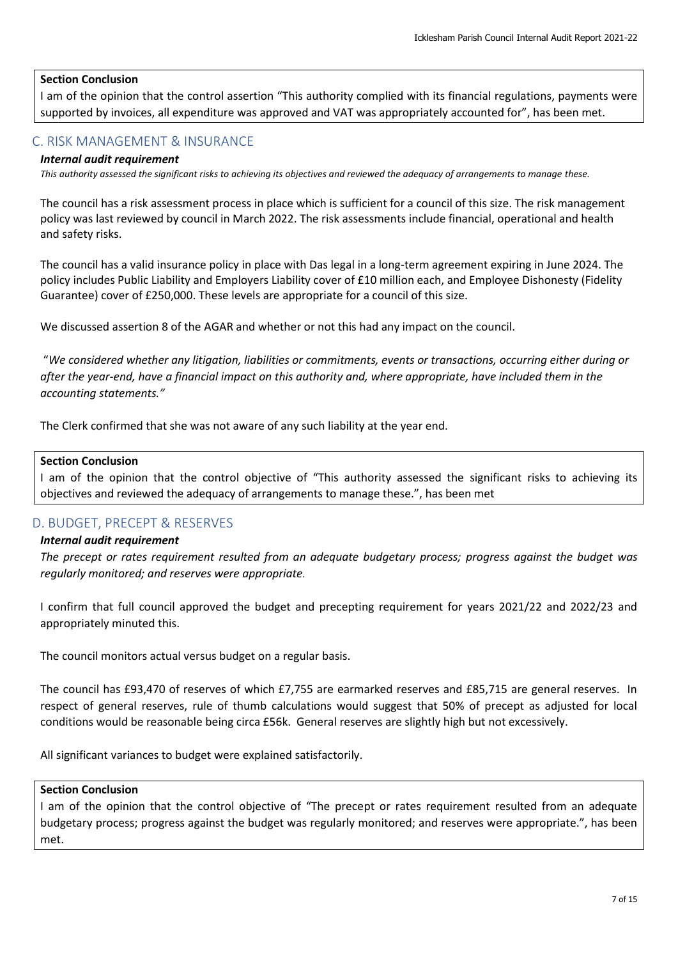# **Section Conclusion**

I am of the opinion that the control assertion "This authority complied with its financial regulations, payments were supported by invoices, all expenditure was approved and VAT was appropriately accounted for", has been met.

# <span id="page-6-0"></span>C. RISK MANAGEMENT & INSURANCE

# *Internal audit requirement*

*This authority assessed the significant risks to achieving its objectives and reviewed the adequacy of arrangements to manage these.*

The council has a risk assessment process in place which is sufficient for a council of this size. The risk management policy was last reviewed by council in March 2022. The risk assessments include financial, operational and health and safety risks.

The council has a valid insurance policy in place with Das legal in a long-term agreement expiring in June 2024. The policy includes Public Liability and Employers Liability cover of £10 million each, and Employee Dishonesty (Fidelity Guarantee) cover of £250,000. These levels are appropriate for a council of this size.

We discussed assertion 8 of the AGAR and whether or not this had any impact on the council.

"*We considered whether any litigation, liabilities or commitments, events or transactions, occurring either during or after the year-end, have a financial impact on this authority and, where appropriate, have included them in the accounting statements."*

The Clerk confirmed that she was not aware of any such liability at the year end.

### **Section Conclusion**

I am of the opinion that the control objective of "This authority assessed the significant risks to achieving its objectives and reviewed the adequacy of arrangements to manage these.", has been met

# <span id="page-6-1"></span>D. BUDGET, PRECEPT & RESERVES

### *Internal audit requirement*

*The precept or rates requirement resulted from an adequate budgetary process; progress against the budget was regularly monitored; and reserves were appropriate.*

I confirm that full council approved the budget and precepting requirement for years 2021/22 and 2022/23 and appropriately minuted this.

The council monitors actual versus budget on a regular basis.

The council has £93,470 of reserves of which £7,755 are earmarked reserves and £85,715 are general reserves. In respect of general reserves, rule of thumb calculations would suggest that 50% of precept as adjusted for local conditions would be reasonable being circa £56k. General reserves are slightly high but not excessively.

All significant variances to budget were explained satisfactorily.

#### **Section Conclusion**

I am of the opinion that the control objective of "The precept or rates requirement resulted from an adequate budgetary process; progress against the budget was regularly monitored; and reserves were appropriate.", has been met.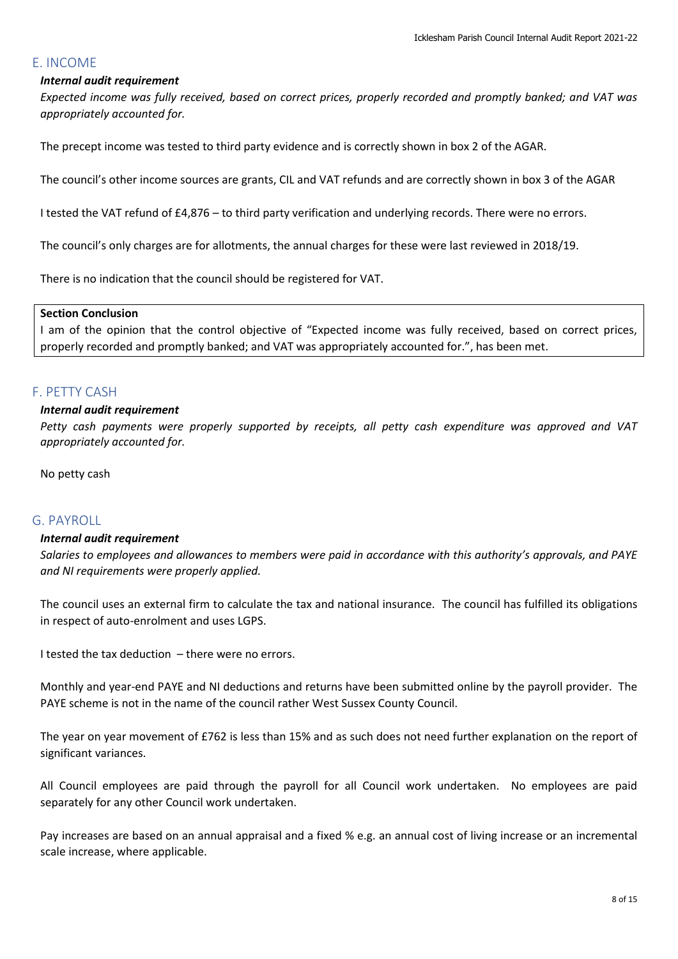# <span id="page-7-0"></span>E. INCOME

## *Internal audit requirement*

*Expected income was fully received, based on correct prices, properly recorded and promptly banked; and VAT was appropriately accounted for.*

The precept income was tested to third party evidence and is correctly shown in box 2 of the AGAR.

The council's other income sources are grants, CIL and VAT refunds and are correctly shown in box 3 of the AGAR

I tested the VAT refund of £4,876 – to third party verification and underlying records. There were no errors.

The council's only charges are for allotments, the annual charges for these were last reviewed in 2018/19.

There is no indication that the council should be registered for VAT.

#### **Section Conclusion**

I am of the opinion that the control objective of "Expected income was fully received, based on correct prices, properly recorded and promptly banked; and VAT was appropriately accounted for.", has been met.

# <span id="page-7-1"></span>F. PETTY CASH

### *Internal audit requirement*

*Petty cash payments were properly supported by receipts, all petty cash expenditure was approved and VAT appropriately accounted for.*

No petty cash

# <span id="page-7-2"></span>G. PAYROLL

#### *Internal audit requirement*

*Salaries to employees and allowances to members were paid in accordance with this authority's approvals, and PAYE and NI requirements were properly applied.*

The council uses an external firm to calculate the tax and national insurance. The council has fulfilled its obligations in respect of auto-enrolment and uses LGPS.

I tested the tax deduction – there were no errors.

Monthly and year-end PAYE and NI deductions and returns have been submitted online by the payroll provider. The PAYE scheme is not in the name of the council rather West Sussex County Council.

The year on year movement of £762 is less than 15% and as such does not need further explanation on the report of significant variances.

All Council employees are paid through the payroll for all Council work undertaken. No employees are paid separately for any other Council work undertaken.

Pay increases are based on an annual appraisal and a fixed % e.g. an annual cost of living increase or an incremental scale increase, where applicable.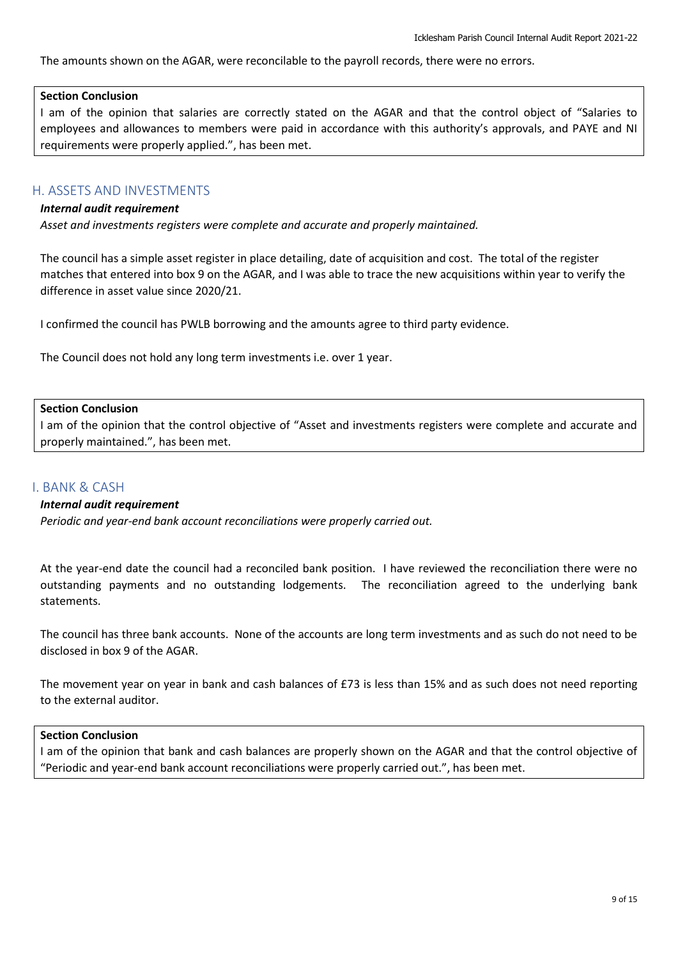The amounts shown on the AGAR, were reconcilable to the payroll records, there were no errors.

# **Section Conclusion**

I am of the opinion that salaries are correctly stated on the AGAR and that the control object of "Salaries to employees and allowances to members were paid in accordance with this authority's approvals, and PAYE and NI requirements were properly applied.", has been met.

# <span id="page-8-0"></span>H. ASSETS AND INVESTMENTS

### *Internal audit requirement*

*Asset and investments registers were complete and accurate and properly maintained.*

The council has a simple asset register in place detailing, date of acquisition and cost. The total of the register matches that entered into box 9 on the AGAR, and I was able to trace the new acquisitions within year to verify the difference in asset value since 2020/21.

I confirmed the council has PWLB borrowing and the amounts agree to third party evidence.

The Council does not hold any long term investments i.e. over 1 year.

### **Section Conclusion**

I am of the opinion that the control objective of "Asset and investments registers were complete and accurate and properly maintained.", has been met.

# <span id="page-8-1"></span>I. BANK & CASH

# *Internal audit requirement*

*Periodic and year-end bank account reconciliations were properly carried out.*

At the year-end date the council had a reconciled bank position. I have reviewed the reconciliation there were no outstanding payments and no outstanding lodgements. The reconciliation agreed to the underlying bank statements.

The council has three bank accounts. None of the accounts are long term investments and as such do not need to be disclosed in box 9 of the AGAR.

The movement year on year in bank and cash balances of £73 is less than 15% and as such does not need reporting to the external auditor.

#### **Section Conclusion**

I am of the opinion that bank and cash balances are properly shown on the AGAR and that the control objective of "Periodic and year-end bank account reconciliations were properly carried out.", has been met.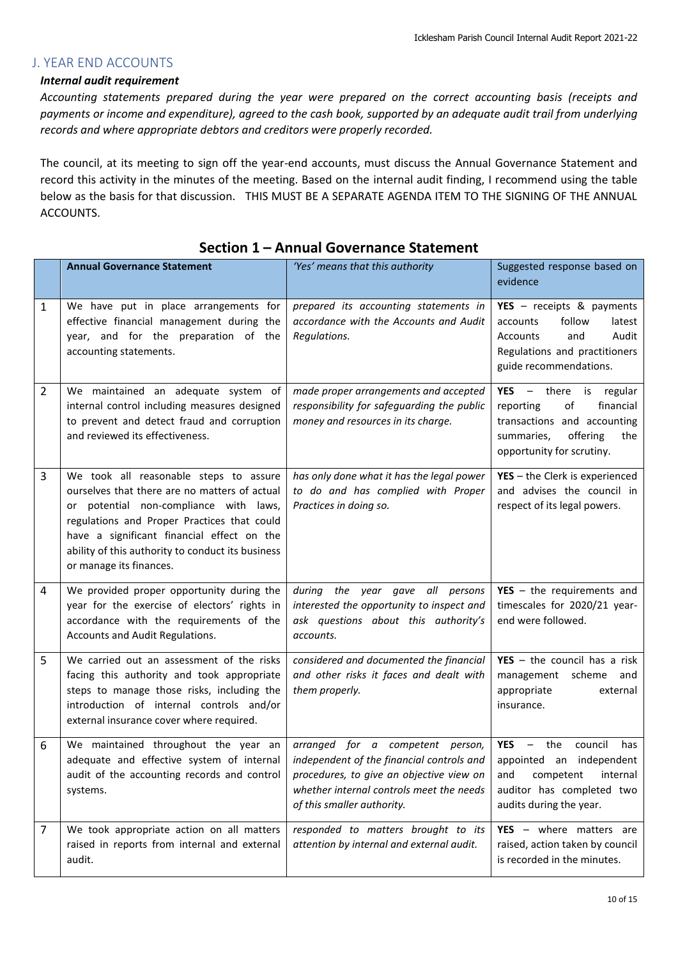# <span id="page-9-0"></span>J. YEAR END ACCOUNTS

# *Internal audit requirement*

*Accounting statements prepared during the year were prepared on the correct accounting basis (receipts and payments or income and expenditure), agreed to the cash book, supported by an adequate audit trail from underlying records and where appropriate debtors and creditors were properly recorded.*

The council, at its meeting to sign off the year-end accounts, must discuss the Annual Governance Statement and record this activity in the minutes of the meeting. Based on the internal audit finding, I recommend using the table below as the basis for that discussion. THIS MUST BE A SEPARATE AGENDA ITEM TO THE SIGNING OF THE ANNUAL ACCOUNTS.

|                | <b>Annual Governance Statement</b>                                                                                                                                                                                                                                                                             | 'Yes' means that this authority                                                                                                                                                                     | Suggested response based on<br>evidence                                                                                                                                             |  |
|----------------|----------------------------------------------------------------------------------------------------------------------------------------------------------------------------------------------------------------------------------------------------------------------------------------------------------------|-----------------------------------------------------------------------------------------------------------------------------------------------------------------------------------------------------|-------------------------------------------------------------------------------------------------------------------------------------------------------------------------------------|--|
| 1              | We have put in place arrangements for<br>effective financial management during the<br>year, and for the preparation of the<br>accounting statements.                                                                                                                                                           | prepared its accounting statements in<br>accordance with the Accounts and Audit<br>Regulations.                                                                                                     | YES - receipts & payments<br>follow<br>latest<br>accounts<br>and<br>Accounts<br>Audit<br>Regulations and practitioners<br>guide recommendations.                                    |  |
| 2              | We maintained an adequate system of<br>internal control including measures designed<br>to prevent and detect fraud and corruption<br>and reviewed its effectiveness.                                                                                                                                           | made proper arrangements and accepted<br>responsibility for safeguarding the public<br>money and resources in its charge.                                                                           | $YES - there is regular$<br>of<br>financial<br>reporting<br>transactions and accounting<br>offering<br>summaries,<br>the<br>opportunity for scrutiny.                               |  |
| 3              | We took all reasonable steps to assure<br>ourselves that there are no matters of actual<br>or potential non-compliance with laws,<br>regulations and Proper Practices that could<br>have a significant financial effect on the<br>ability of this authority to conduct its business<br>or manage its finances. | has only done what it has the legal power<br>to do and has complied with Proper<br>Practices in doing so.                                                                                           | YES - the Clerk is experienced<br>and advises the council in<br>respect of its legal powers.                                                                                        |  |
| 4              | We provided proper opportunity during the<br>year for the exercise of electors' rights in<br>accordance with the requirements of the<br>Accounts and Audit Regulations.                                                                                                                                        | during the year gave all persons<br>interested the opportunity to inspect and<br>ask questions about this authority's<br>accounts.                                                                  | $YES - the requirements and$<br>timescales for 2020/21 year-<br>end were followed.                                                                                                  |  |
| 5              | We carried out an assessment of the risks<br>facing this authority and took appropriate<br>steps to manage those risks, including the<br>introduction of internal controls and/or<br>external insurance cover where required.                                                                                  | considered and documented the financial<br>and other risks it faces and dealt with<br>them properly.                                                                                                | $YES - the council has a risk$<br>management scheme and<br>appropriate<br>external<br>insurance.                                                                                    |  |
| 6              | We maintained throughout the year an<br>adequate and effective system of internal<br>audit of the accounting records and control<br>systems.                                                                                                                                                                   | arranged for a competent person,<br>independent of the financial controls and<br>procedures, to give an objective view on<br>whether internal controls meet the needs<br>of this smaller authority. | <b>YES</b><br>council<br>the<br>has<br>$\overline{\phantom{0}}$<br>appointed an independent<br>competent<br>internal<br>and<br>auditor has completed two<br>audits during the year. |  |
| $\overline{7}$ | We took appropriate action on all matters<br>raised in reports from internal and external<br>audit.                                                                                                                                                                                                            | responded to matters brought to its<br>attention by internal and external audit.                                                                                                                    | YES - where matters are<br>raised, action taken by council<br>is recorded in the minutes.                                                                                           |  |

# **Section 1 – Annual Governance Statement**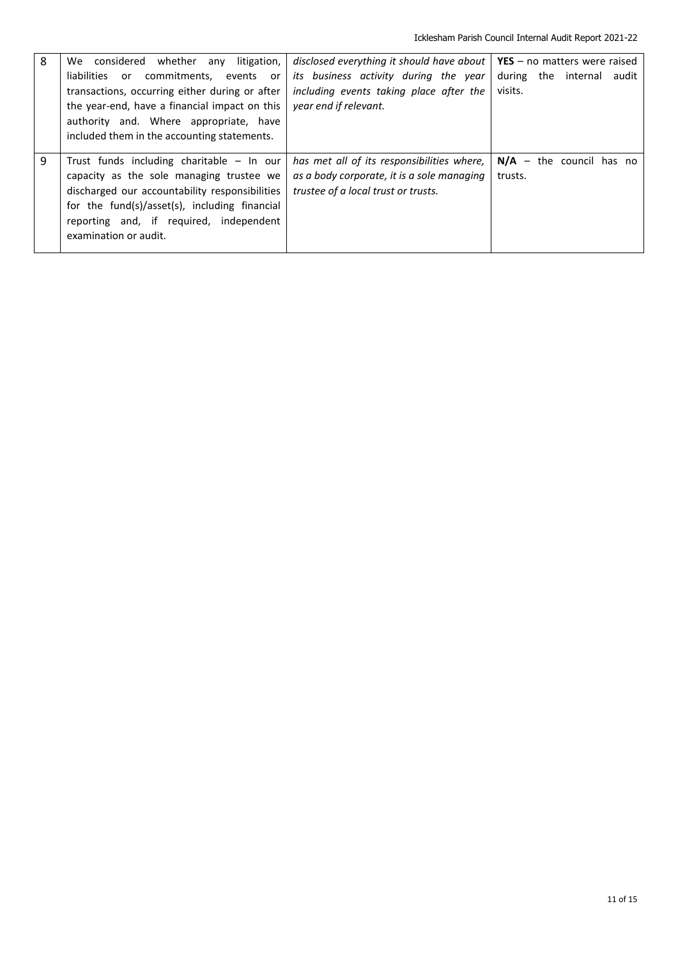| 8 | any litigation,<br>We considered whether<br>liabilities or<br>commitments, events or<br>transactions, occurring either during or after<br>the year-end, have a financial impact on this<br>authority and. Where appropriate, have<br>included them in the accounting statements. | disclosed everything it should have about $\vert$ YES – no matters were raised<br>its business activity during the year<br>including events taking place after the<br>year end if relevant. | during the internal audit<br>visits.  |
|---|----------------------------------------------------------------------------------------------------------------------------------------------------------------------------------------------------------------------------------------------------------------------------------|---------------------------------------------------------------------------------------------------------------------------------------------------------------------------------------------|---------------------------------------|
| 9 | Trust funds including charitable $-$ In our<br>capacity as the sole managing trustee we<br>discharged our accountability responsibilities<br>for the fund(s)/asset(s), including financial<br>reporting and, if required, independent<br>examination or audit.                   | has met all of its responsibilities where,<br>as a body corporate, it is a sole managing<br>trustee of a local trust or trusts.                                                             | $N/A -$ the council has no<br>trusts. |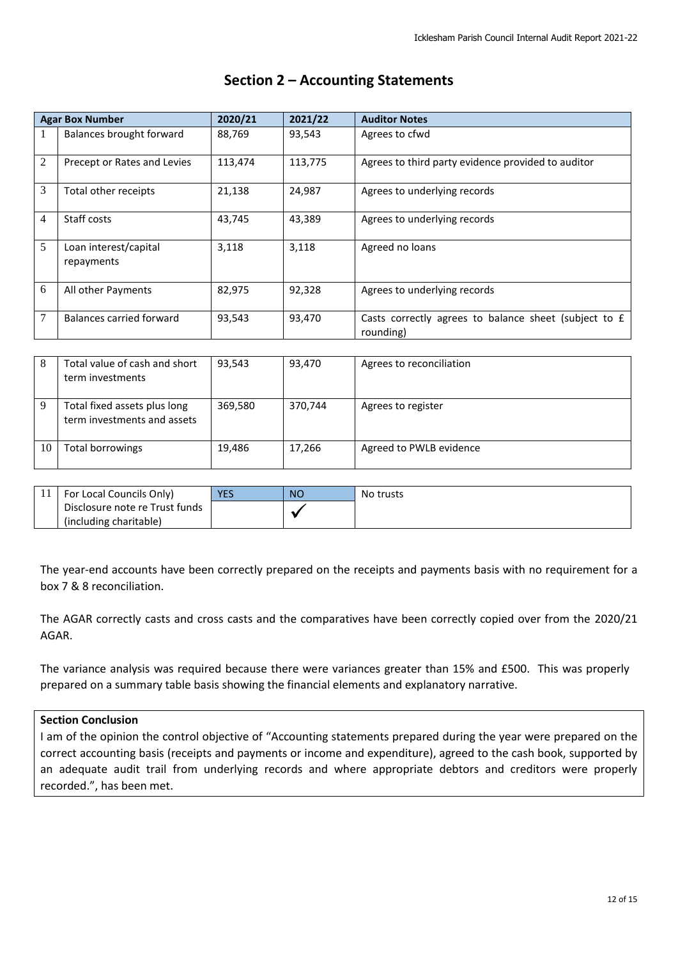|                | <b>Agar Box Number</b>              | 2020/21 | 2021/22 | <b>Auditor Notes</b>                                               |
|----------------|-------------------------------------|---------|---------|--------------------------------------------------------------------|
| 1              | Balances brought forward            | 88,769  | 93,543  | Agrees to cfwd                                                     |
| $\overline{2}$ | Precept or Rates and Levies         | 113,474 | 113,775 | Agrees to third party evidence provided to auditor                 |
| 3              | Total other receipts                | 21,138  | 24,987  | Agrees to underlying records                                       |
| $\overline{4}$ | Staff costs                         | 43,745  | 43,389  | Agrees to underlying records                                       |
| 5              | Loan interest/capital<br>repayments | 3,118   | 3,118   | Agreed no loans                                                    |
| 6              | All other Payments                  | 82,975  | 92,328  | Agrees to underlying records                                       |
| 7              | Balances carried forward            | 93,543  | 93,470  | Casts correctly agrees to balance sheet (subject to £<br>rounding) |

# **Section 2 – Accounting Statements**

| 8  | Total value of cash and short<br>term investments           | 93.543  | 93,470  | Agrees to reconciliation |
|----|-------------------------------------------------------------|---------|---------|--------------------------|
| 9  | Total fixed assets plus long<br>term investments and assets | 369,580 | 370,744 | Agrees to register       |
| 10 | Total borrowings                                            | 19,486  | 17,266  | Agreed to PWLB evidence  |

| For Local Councils Only)       | <b>YES</b> | <b>NO</b> | No trusts |
|--------------------------------|------------|-----------|-----------|
| Disclosure note re Trust funds |            |           |           |
| (including charitable)         |            |           |           |

The year-end accounts have been correctly prepared on the receipts and payments basis with no requirement for a box 7 & 8 reconciliation.

The AGAR correctly casts and cross casts and the comparatives have been correctly copied over from the 2020/21 AGAR.

The variance analysis was required because there were variances greater than 15% and £500. This was properly prepared on a summary table basis showing the financial elements and explanatory narrative.

# **Section Conclusion**

I am of the opinion the control objective of "Accounting statements prepared during the year were prepared on the correct accounting basis (receipts and payments or income and expenditure), agreed to the cash book, supported by an adequate audit trail from underlying records and where appropriate debtors and creditors were properly recorded.", has been met.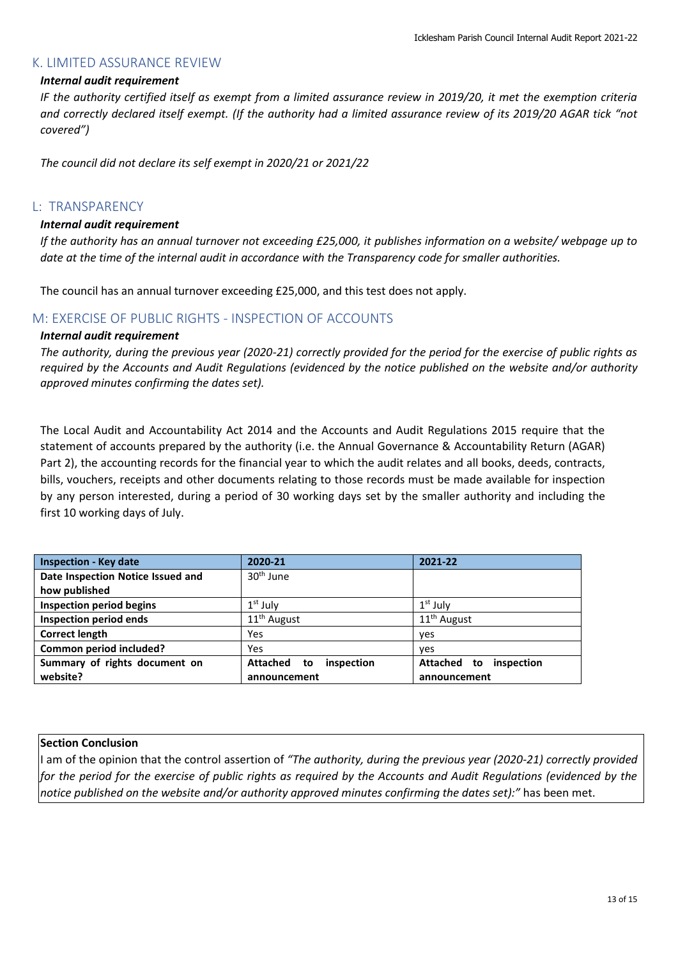# <span id="page-12-0"></span>K. LIMITED ASSURANCE REVIEW

# *Internal audit requirement*

*IF the authority certified itself as exempt from a limited assurance review in 2019/20, it met the exemption criteria and correctly declared itself exempt. (If the authority had a limited assurance review of its 2019/20 AGAR tick "not covered")*

*The council did not declare its self exempt in 2020/21 or 2021/22*

# <span id="page-12-1"></span>L: TRANSPARENCY

### *Internal audit requirement*

*If the authority has an annual turnover not exceeding £25,000, it publishes information on a website/ webpage up to date at the time of the internal audit in accordance with the Transparency code for smaller authorities.*

The council has an annual turnover exceeding £25,000, and this test does not apply.

# <span id="page-12-2"></span>M: EXERCISE OF PUBLIC RIGHTS - INSPECTION OF ACCOUNTS

### *Internal audit requirement*

*The authority, during the previous year (2020-21) correctly provided for the period for the exercise of public rights as required by the Accounts and Audit Regulations (evidenced by the notice published on the website and/or authority approved minutes confirming the dates set).*

The Local Audit and Accountability Act 2014 and the Accounts and Audit Regulations 2015 require that the statement of accounts prepared by the authority (i.e. the Annual Governance & Accountability Return (AGAR) Part 2), the accounting records for the financial year to which the audit relates and all books, deeds, contracts, bills, vouchers, receipts and other documents relating to those records must be made available for inspection by any person interested, during a period of 30 working days set by the smaller authority and including the first 10 working days of July.

| <b>Inspection - Key date</b>      | 2020-21                             | 2021-22                      |
|-----------------------------------|-------------------------------------|------------------------------|
| Date Inspection Notice Issued and | 30 <sup>th</sup> June               |                              |
| how published                     |                                     |                              |
| <b>Inspection period begins</b>   | $1st$ July                          | $1st$ July                   |
| <b>Inspection period ends</b>     | 11 <sup>th</sup> August             | $11th$ August                |
| <b>Correct length</b>             | Yes                                 | yes                          |
| Common period included?           | Yes                                 | yes                          |
| Summary of rights document on     | <b>Attached</b><br>inspection<br>to | Attached<br>inspection<br>to |
| website?                          | announcement                        | announcement                 |

### **Section Conclusion**

I am of the opinion that the control assertion of *"The authority, during the previous year (2020-21) correctly provided for the period for the exercise of public rights as required by the Accounts and Audit Regulations (evidenced by the notice published on the website and/or authority approved minutes confirming the dates set):"* has been met.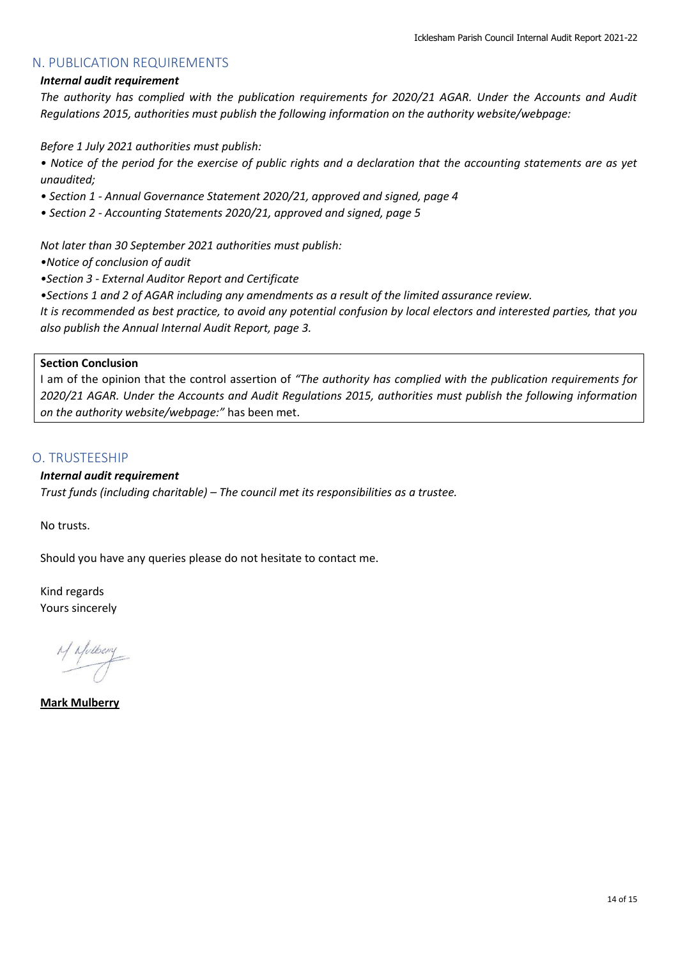# <span id="page-13-0"></span>N. PUBLICATION REQUIREMENTS

# *Internal audit requirement*

*The authority has complied with the publication requirements for 2020/21 AGAR. Under the Accounts and Audit Regulations 2015, authorities must publish the following information on the authority website/webpage:*

*Before 1 July 2021 authorities must publish:*

- *Notice of the period for the exercise of public rights and a declaration that the accounting statements are as yet unaudited;*
- *Section 1 - Annual Governance Statement 2020/21, approved and signed, page 4*
- *Section 2 - Accounting Statements 2020/21, approved and signed, page 5*

*Not later than 30 September 2021 authorities must publish:*

*•Notice of conclusion of audit*

*•Section 3 - External Auditor Report and Certificate*

*•Sections 1 and 2 of AGAR including any amendments as a result of the limited assurance review.*

*It is recommended as best practice, to avoid any potential confusion by local electors and interested parties, that you also publish the Annual Internal Audit Report, page 3.*

# **Section Conclusion**

I am of the opinion that the control assertion of *"The authority has complied with the publication requirements for 2020/21 AGAR. Under the Accounts and Audit Regulations 2015, authorities must publish the following information on the authority website/webpage:"* has been met.

# <span id="page-13-1"></span>O. TRUSTEESHIP

# *Internal audit requirement*

*Trust funds (including charitable) – The council met its responsibilities as a trustee.*

No trusts.

Should you have any queries please do not hesitate to contact me.

Kind regards Yours sincerely

M Nulbery

**Mark Mulberry**